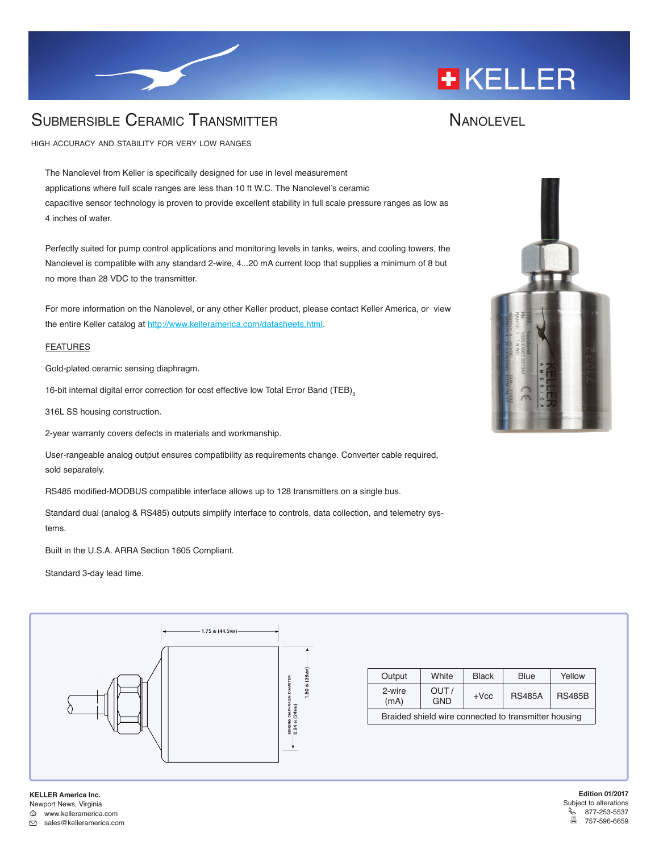

### Submersible Ceramic Transmitter

high accuracy and stability for very low ranges

The Nanolevel from Keller is specifically designed for use in level measurement applications where full scale ranges are less than 10 ft W.C. The Nanolevel's ceramic capacitive sensor technology is proven to provide excellent stability in full scale pressure ranges as low as 4 inches of water.

Perfectly suited for pump control applications and monitoring levels in tanks, weirs, and cooling towers, the Nanolevel is compatible with any standard 2-wire, 4...20 mA current loop that supplies a minimum of 8 but no more than 28 VDC to the transmitter.

For more information on the Nanolevel, or any other Keller product, please contact Keller America, or view the entire Keller catalog at <http://www.kelleramerica.com/datasheets.html>.

### FEATURES

Gold-plated ceramic sensing diaphragm.

16-bit internal digital error correction for cost effective low Total Error Band (TEB)<sub>3</sub>

316L SS housing construction.

2-year warranty covers defects in materials and workmanship.

User-rangeable analog output ensures compatibility as requirements change. Converter cable required, sold separately.

RS485 modified-MODBUS compatible interface allows up to 128 transmitters on a single bus.

Standard dual (analog & RS485) outputs simplify interface to controls, data collection, and telemetry systems.

Built in the U.S.A. ARRA Section 1605 Compliant.

Standard 3-day lead time.



**KELLER America Inc.** Newport News, Virginia<br>
many www.kelleramerica  [www.kelleramerica.com](http://www.kelleramerica.com)  [sales@kelleramerica.com](mailto:sales%40kelleramerica.com?subject=Request%20for%20more%20Information)

# **+KELLER**

NANOLEVEL